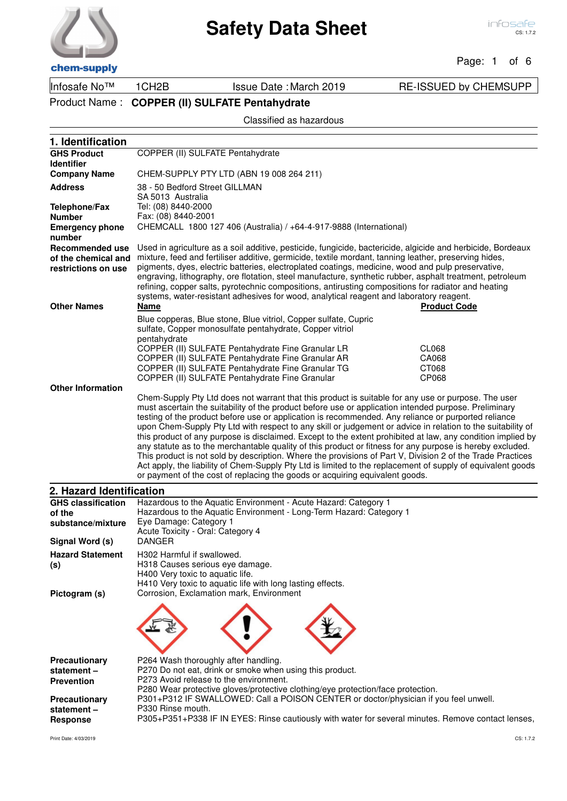#### Page: 1 of 6

Infosafe No™ 1CH2B Issue Date :March 2019 RE-ISSUED by CHEMSUPP

Product Name : **COPPER (II) SULFATE Pentahydrate**

### Classified as hazardous

| 1. Identification                          |                                                                                                                                                                                                                           |                     |
|--------------------------------------------|---------------------------------------------------------------------------------------------------------------------------------------------------------------------------------------------------------------------------|---------------------|
| <b>GHS Product</b>                         | COPPER (II) SULFATE Pentahydrate                                                                                                                                                                                          |                     |
| <b>Identifier</b>                          |                                                                                                                                                                                                                           |                     |
| <b>Company Name</b>                        | CHEM-SUPPLY PTY LTD (ABN 19 008 264 211)                                                                                                                                                                                  |                     |
| <b>Address</b>                             | 38 - 50 Bedford Street GILLMAN<br>SA 5013 Australia                                                                                                                                                                       |                     |
| <b>Telephone/Fax</b>                       | Tel: (08) 8440-2000                                                                                                                                                                                                       |                     |
| <b>Number</b>                              | Fax: (08) 8440-2001                                                                                                                                                                                                       |                     |
| <b>Emergency phone</b>                     | CHEMCALL 1800 127 406 (Australia) / +64-4-917-9888 (International)                                                                                                                                                        |                     |
| number                                     |                                                                                                                                                                                                                           |                     |
| Recommended use                            | Used in agriculture as a soil additive, pesticide, fungicide, bactericide, algicide and herbicide, Bordeaux                                                                                                               |                     |
| of the chemical and<br>restrictions on use | mixture, feed and fertiliser additive, germicide, textile mordant, tanning leather, preserving hides,<br>pigments, dyes, electric batteries, electroplated coatings, medicine, wood and pulp preservative,                |                     |
|                                            | engraving, lithography, ore flotation, steel manufacture, synthetic rubber, asphalt treatment, petroleum                                                                                                                  |                     |
|                                            | refining, copper salts, pyrotechnic compositions, antirusting compositions for radiator and heating                                                                                                                       |                     |
| <b>Other Names</b>                         | systems, water-resistant adhesives for wood, analytical reagent and laboratory reagent.<br><b>Name</b>                                                                                                                    | <b>Product Code</b> |
|                                            |                                                                                                                                                                                                                           |                     |
|                                            | Blue copperas, Blue stone, Blue vitriol, Copper sulfate, Cupric<br>sulfate, Copper monosulfate pentahydrate, Copper vitriol                                                                                               |                     |
|                                            | pentahydrate                                                                                                                                                                                                              |                     |
|                                            | COPPER (II) SULFATE Pentahydrate Fine Granular LR                                                                                                                                                                         | CL068               |
|                                            | COPPER (II) SULFATE Pentahydrate Fine Granular AR                                                                                                                                                                         | CA068               |
|                                            | COPPER (II) SULFATE Pentahydrate Fine Granular TG<br>COPPER (II) SULFATE Pentahydrate Fine Granular                                                                                                                       | CT068<br>CP068      |
| <b>Other Information</b>                   |                                                                                                                                                                                                                           |                     |
|                                            | Chem-Supply Pty Ltd does not warrant that this product is suitable for any use or purpose. The user                                                                                                                       |                     |
|                                            | must ascertain the suitability of the product before use or application intended purpose. Preliminary                                                                                                                     |                     |
|                                            | testing of the product before use or application is recommended. Any reliance or purported reliance<br>upon Chem-Supply Pty Ltd with respect to any skill or judgement or advice in relation to the suitability of        |                     |
|                                            | this product of any purpose is disclaimed. Except to the extent prohibited at law, any condition implied by                                                                                                               |                     |
|                                            | any statute as to the merchantable quality of this product or fitness for any purpose is hereby excluded.                                                                                                                 |                     |
|                                            | This product is not sold by description. Where the provisions of Part V, Division 2 of the Trade Practices<br>Act apply, the liability of Chem-Supply Pty Ltd is limited to the replacement of supply of equivalent goods |                     |
|                                            | or payment of the cost of replacing the goods or acquiring equivalent goods.                                                                                                                                              |                     |
| 2. Hazard Identification                   |                                                                                                                                                                                                                           |                     |
| <b>GHS classification</b>                  | Hazardous to the Aquatic Environment - Acute Hazard: Category 1                                                                                                                                                           |                     |
| of the                                     | Hazardous to the Aquatic Environment - Long-Term Hazard: Category 1                                                                                                                                                       |                     |
| substance/mixture                          | Eye Damage: Category 1                                                                                                                                                                                                    |                     |
| Signal Word (s)                            | Acute Toxicity - Oral: Category 4<br><b>DANGER</b>                                                                                                                                                                        |                     |
| <b>Hazard Statement</b>                    | H302 Harmful if swallowed.                                                                                                                                                                                                |                     |
| (s)                                        | H318 Causes serious eye damage.                                                                                                                                                                                           |                     |
|                                            | H400 Very toxic to aquatic life.                                                                                                                                                                                          |                     |
| Pictogram (s)                              | H410 Very toxic to aquatic life with long lasting effects.<br>Corrosion, Exclamation mark, Environment                                                                                                                    |                     |
|                                            |                                                                                                                                                                                                                           |                     |
|                                            |                                                                                                                                                                                                                           |                     |
|                                            |                                                                                                                                                                                                                           |                     |
|                                            |                                                                                                                                                                                                                           |                     |
|                                            |                                                                                                                                                                                                                           |                     |
| Precautionary                              | P264 Wash thoroughly after handling.                                                                                                                                                                                      |                     |
| statement-                                 | P270 Do not eat, drink or smoke when using this product.                                                                                                                                                                  |                     |
| <b>Prevention</b>                          | P273 Avoid release to the environment.<br>P280 Wear protective gloves/protective clothing/eye protection/face protection.                                                                                                 |                     |
| Precautionary                              | P301+P312 IF SWALLOWED: Call a POISON CENTER or doctor/physician if you feel unwell.                                                                                                                                      |                     |

P305+P351+P338 IF IN EYES: Rinse cautiously with water for several minutes. Remove contact lenses,

P330 Rinse mouth.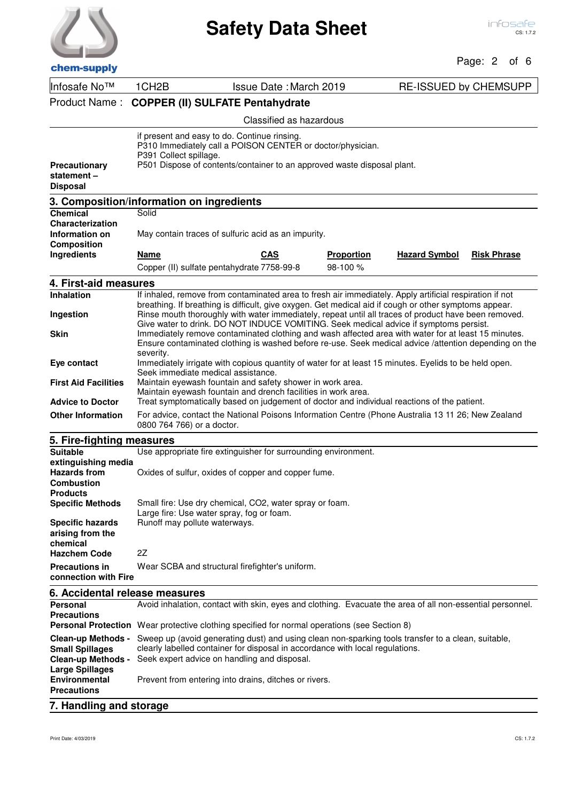| chem-supply |  |
|-------------|--|

# Page: 2 of 6

| спенгэчрргу                                                                        |                                                                                                                                                                                                                 |                                                                                                                                                                                                               |                   |                              |                    |
|------------------------------------------------------------------------------------|-----------------------------------------------------------------------------------------------------------------------------------------------------------------------------------------------------------------|---------------------------------------------------------------------------------------------------------------------------------------------------------------------------------------------------------------|-------------------|------------------------------|--------------------|
| Infosafe No™                                                                       | 1CH <sub>2</sub> B                                                                                                                                                                                              | <b>Issue Date: March 2019</b>                                                                                                                                                                                 |                   | <b>RE-ISSUED by CHEMSUPP</b> |                    |
| Product Name:                                                                      | <b>COPPER (II) SULFATE Pentahydrate</b>                                                                                                                                                                         |                                                                                                                                                                                                               |                   |                              |                    |
|                                                                                    |                                                                                                                                                                                                                 | Classified as hazardous                                                                                                                                                                                       |                   |                              |                    |
| Precautionary<br>statement-<br><b>Disposal</b>                                     | if present and easy to do. Continue rinsing.<br>P310 Immediately call a POISON CENTER or doctor/physician.<br>P391 Collect spillage.<br>P501 Dispose of contents/container to an approved waste disposal plant. |                                                                                                                                                                                                               |                   |                              |                    |
|                                                                                    | 3. Composition/information on ingredients                                                                                                                                                                       |                                                                                                                                                                                                               |                   |                              |                    |
| <b>Chemical</b>                                                                    | Solid                                                                                                                                                                                                           |                                                                                                                                                                                                               |                   |                              |                    |
| Characterization<br>Information on                                                 |                                                                                                                                                                                                                 | May contain traces of sulfuric acid as an impurity.                                                                                                                                                           |                   |                              |                    |
| <b>Composition</b>                                                                 |                                                                                                                                                                                                                 |                                                                                                                                                                                                               |                   |                              |                    |
| Ingredients                                                                        | <b>Name</b>                                                                                                                                                                                                     | <b>CAS</b>                                                                                                                                                                                                    | <b>Proportion</b> | <b>Hazard Symbol</b>         | <b>Risk Phrase</b> |
|                                                                                    | Copper (II) sulfate pentahydrate 7758-99-8                                                                                                                                                                      |                                                                                                                                                                                                               | 98-100 %          |                              |                    |
| 4. First-aid measures                                                              |                                                                                                                                                                                                                 |                                                                                                                                                                                                               |                   |                              |                    |
| Inhalation                                                                         |                                                                                                                                                                                                                 | If inhaled, remove from contaminated area to fresh air immediately. Apply artificial respiration if not                                                                                                       |                   |                              |                    |
| Ingestion                                                                          |                                                                                                                                                                                                                 | breathing. If breathing is difficult, give oxygen. Get medical aid if cough or other symptoms appear.<br>Rinse mouth thoroughly with water immediately, repeat until all traces of product have been removed. |                   |                              |                    |
|                                                                                    |                                                                                                                                                                                                                 | Give water to drink. DO NOT INDUCE VOMITING. Seek medical advice if symptoms persist.                                                                                                                         |                   |                              |                    |
| Skin                                                                               |                                                                                                                                                                                                                 | Immediately remove contaminated clothing and wash affected area with water for at least 15 minutes.<br>Ensure contaminated clothing is washed before re-use. Seek medical advice /attention depending on the  |                   |                              |                    |
|                                                                                    | severity.                                                                                                                                                                                                       |                                                                                                                                                                                                               |                   |                              |                    |
| Eye contact                                                                        | Seek immediate medical assistance.                                                                                                                                                                              | Immediately irrigate with copious quantity of water for at least 15 minutes. Eyelids to be held open.                                                                                                         |                   |                              |                    |
| <b>First Aid Facilities</b>                                                        |                                                                                                                                                                                                                 | Maintain eyewash fountain and safety shower in work area.                                                                                                                                                     |                   |                              |                    |
| <b>Advice to Doctor</b>                                                            |                                                                                                                                                                                                                 | Maintain eyewash fountain and drench facilities in work area.<br>Treat symptomatically based on judgement of doctor and individual reactions of the patient.                                                  |                   |                              |                    |
| <b>Other Information</b>                                                           |                                                                                                                                                                                                                 | For advice, contact the National Poisons Information Centre (Phone Australia 13 11 26; New Zealand                                                                                                            |                   |                              |                    |
|                                                                                    | 0800 764 766) or a doctor.                                                                                                                                                                                      |                                                                                                                                                                                                               |                   |                              |                    |
| 5. Fire-fighting measures                                                          |                                                                                                                                                                                                                 |                                                                                                                                                                                                               |                   |                              |                    |
| <b>Suitable</b>                                                                    |                                                                                                                                                                                                                 | Use appropriate fire extinguisher for surrounding environment.                                                                                                                                                |                   |                              |                    |
| extinguishing media<br><b>Hazards from</b><br><b>Combustion</b><br><b>Products</b> |                                                                                                                                                                                                                 | Oxides of sulfur, oxides of copper and copper fume.                                                                                                                                                           |                   |                              |                    |
| <b>Specific Methods</b>                                                            |                                                                                                                                                                                                                 | Small fire: Use dry chemical, CO2, water spray or foam.                                                                                                                                                       |                   |                              |                    |
| <b>Specific hazards</b>                                                            | Large fire: Use water spray, fog or foam.<br>Runoff may pollute waterways.                                                                                                                                      |                                                                                                                                                                                                               |                   |                              |                    |
| arising from the                                                                   |                                                                                                                                                                                                                 |                                                                                                                                                                                                               |                   |                              |                    |
| chemical                                                                           |                                                                                                                                                                                                                 |                                                                                                                                                                                                               |                   |                              |                    |
| <b>Hazchem Code</b>                                                                | 2Z                                                                                                                                                                                                              |                                                                                                                                                                                                               |                   |                              |                    |
| <b>Precautions in</b><br>connection with Fire                                      |                                                                                                                                                                                                                 | Wear SCBA and structural firefighter's uniform.                                                                                                                                                               |                   |                              |                    |
| 6. Accidental release measures                                                     |                                                                                                                                                                                                                 |                                                                                                                                                                                                               |                   |                              |                    |
| <b>Personal</b>                                                                    |                                                                                                                                                                                                                 | Avoid inhalation, contact with skin, eyes and clothing. Evacuate the area of all non-essential personnel.                                                                                                     |                   |                              |                    |
| <b>Precautions</b>                                                                 |                                                                                                                                                                                                                 | <b>Personal Protection</b> Wear protective clothing specified for normal operations (see Section 8)                                                                                                           |                   |                              |                    |
| <b>Clean-up Methods -</b><br><b>Small Spillages</b>                                |                                                                                                                                                                                                                 | Sweep up (avoid generating dust) and using clean non-sparking tools transfer to a clean, suitable,<br>clearly labelled container for disposal in accordance with local regulations.                           |                   |                              |                    |
| <b>Clean-up Methods -</b>                                                          |                                                                                                                                                                                                                 | Seek expert advice on handling and disposal.                                                                                                                                                                  |                   |                              |                    |
| <b>Large Spillages</b><br><b>Environmental</b><br><b>Precautions</b>               |                                                                                                                                                                                                                 | Prevent from entering into drains, ditches or rivers.                                                                                                                                                         |                   |                              |                    |
|                                                                                    |                                                                                                                                                                                                                 |                                                                                                                                                                                                               |                   |                              |                    |

### **7. Handling and storage**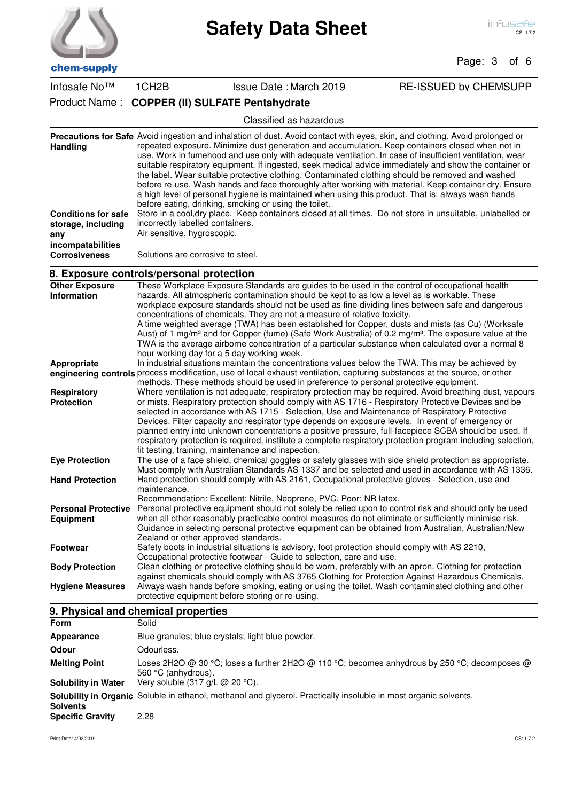# Page: 3 of 6

Infosafe No™ 1CH2B Issue Date : March 2019 RE-ISSUED by CHEMSUPP

# Product Name : **COPPER (II) SULFATE Pentahydrate**

| <b>Handling</b>                                                              | <b>Precautions for Safe</b> Avoid ingestion and inhalation of dust. Avoid contact with eyes, skin, and clothing. Avoid prolonged or<br>repeated exposure. Minimize dust generation and accumulation. Keep containers closed when not in<br>use. Work in fumehood and use only with adequate ventilation. In case of insufficient ventilation, wear<br>suitable respiratory equipment. If ingested, seek medical advice immediately and show the container or<br>the label. Wear suitable protective clothing. Contaminated clothing should be removed and washed<br>before re-use. Wash hands and face thoroughly after working with material. Keep container dry. Ensure<br>a high level of personal hygiene is maintained when using this product. That is; always wash hands<br>before eating, drinking, smoking or using the toilet. |
|------------------------------------------------------------------------------|------------------------------------------------------------------------------------------------------------------------------------------------------------------------------------------------------------------------------------------------------------------------------------------------------------------------------------------------------------------------------------------------------------------------------------------------------------------------------------------------------------------------------------------------------------------------------------------------------------------------------------------------------------------------------------------------------------------------------------------------------------------------------------------------------------------------------------------|
| <b>Conditions for safe</b><br>storage, including<br>anv<br>incompatabilities | Store in a cool, dry place. Keep containers closed at all times. Do not store in unsuitable, unlabelled or<br>incorrectly labelled containers.<br>Air sensitive, hygroscopic.                                                                                                                                                                                                                                                                                                                                                                                                                                                                                                                                                                                                                                                            |
| <b>Corrosiveness</b>                                                         | Solutions are corrosive to steel.                                                                                                                                                                                                                                                                                                                                                                                                                                                                                                                                                                                                                                                                                                                                                                                                        |

# **8. Exposure controls/personal protection**

| <b>Other Exposure</b>      | These Workplace Exposure Standards are guides to be used in the control of occupational health                                |
|----------------------------|-------------------------------------------------------------------------------------------------------------------------------|
| <b>Information</b>         | hazards. All atmospheric contamination should be kept to as low a level as is workable. These                                 |
|                            | workplace exposure standards should not be used as fine dividing lines between safe and dangerous                             |
|                            | concentrations of chemicals. They are not a measure of relative toxicity.                                                     |
|                            | A time weighted average (TWA) has been established for Copper, dusts and mists (as Cu) (Worksafe                              |
|                            | Aust) of 1 mg/m <sup>3</sup> and for Copper (fume) (Safe Work Australia) of 0.2 mg/m <sup>3</sup> . The exposure value at the |
|                            | TWA is the average airborne concentration of a particular substance when calculated over a normal 8                           |
|                            | hour working day for a 5 day working week.                                                                                    |
| Appropriate                | In industrial situations maintain the concentrations values below the TWA. This may be achieved by                            |
|                            | engineering controls process modification, use of local exhaust ventilation, capturing substances at the source, or other     |
|                            | methods. These methods should be used in preference to personal protective equipment.                                         |
| <b>Respiratory</b>         | Where ventilation is not adequate, respiratory protection may be required. Avoid breathing dust, vapours                      |
| <b>Protection</b>          | or mists. Respiratory protection should comply with AS 1716 - Respiratory Protective Devices and be                           |
|                            | selected in accordance with AS 1715 - Selection, Use and Maintenance of Respiratory Protective                                |
|                            | Devices. Filter capacity and respirator type depends on exposure levels. In event of emergency or                             |
|                            | planned entry into unknown concentrations a positive pressure, full-facepiece SCBA should be used. If                         |
|                            | respiratory protection is required, institute a complete respiratory protection program including selection,                  |
|                            | fit testing, training, maintenance and inspection.                                                                            |
| <b>Eye Protection</b>      | The use of a face shield, chemical goggles or safety glasses with side shield protection as appropriate.                      |
|                            | Must comply with Australian Standards AS 1337 and be selected and used in accordance with AS 1336.                            |
| <b>Hand Protection</b>     | Hand protection should comply with AS 2161, Occupational protective gloves - Selection, use and                               |
|                            | maintenance.                                                                                                                  |
|                            | Recommendation: Excellent: Nitrile, Neoprene, PVC. Poor: NR latex.                                                            |
| <b>Personal Protective</b> | Personal protective equipment should not solely be relied upon to control risk and should only be used                        |
| <b>Equipment</b>           | when all other reasonably practicable control measures do not eliminate or sufficiently minimise risk.                        |
|                            | Guidance in selecting personal protective equipment can be obtained from Australian, Australian/New                           |
|                            | Zealand or other approved standards.                                                                                          |
| <b>Footwear</b>            | Safety boots in industrial situations is advisory, foot protection should comply with AS 2210,                                |
|                            | Occupational protective footwear - Guide to selection, care and use.                                                          |
| <b>Body Protection</b>     | Clean clothing or protective clothing should be worn, preferably with an apron. Clothing for protection                       |
|                            | against chemicals should comply with AS 3765 Clothing for Protection Against Hazardous Chemicals.                             |
| <b>Hygiene Measures</b>    | Always wash hands before smoking, eating or using the toilet. Wash contaminated clothing and other                            |
|                            | protective equipment before storing or re-using.                                                                              |

# **9. Physical and chemical properties**

| <b>Form</b>                | Solid                                                                                                               |
|----------------------------|---------------------------------------------------------------------------------------------------------------------|
| Appearance                 | Blue granules; blue crystals; light blue powder.                                                                    |
| <b>Odour</b>               | Odourless.                                                                                                          |
| <b>Melting Point</b>       | Loses 2H2O @ 30 °C; loses a further 2H2O @ 110 °C; becomes anhydrous by 250 °C; decomposes @<br>560 °C (anhydrous). |
| <b>Solubility in Water</b> | Very soluble $(317 \text{ g/L} \textcircled{a} 20 \text{ }^{\circ}\text{C})$ .                                      |
| <b>Solvents</b>            | Solubility in Organic Soluble in ethanol, methanol and glycerol. Practically insoluble in most organic solvents.    |
| <b>Specific Gravity</b>    | 2.28                                                                                                                |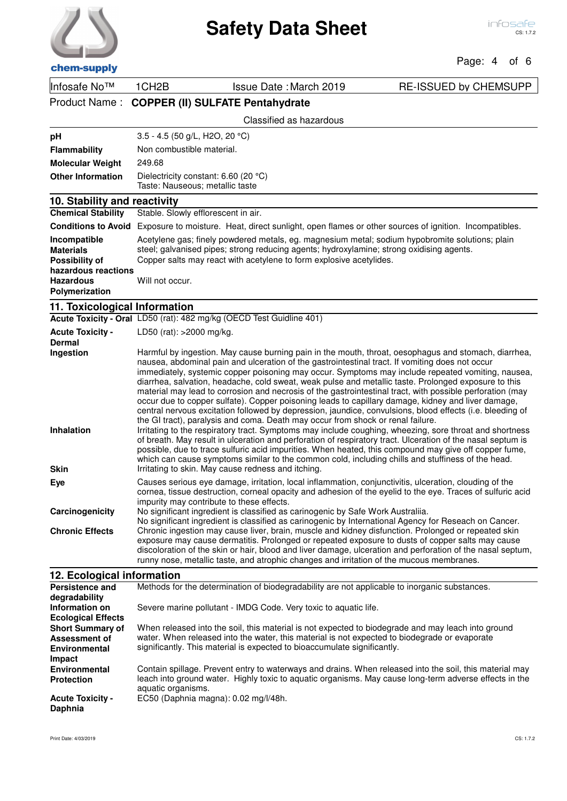| chem-supply |  |
|-------------|--|

# Page: 4 of 6

| Infosafe No™                                                                                         | 1CH <sub>2</sub> B                        | <b>Issue Date: March 2019</b>                                                                                                                                                                                                                                                                                                                                                                                                                                                                                                                                                                             | <b>RE-ISSUED by CHEMSUPP</b>                                                                                                                                                                                                                                                                                                                                                                                                                                                                                                                                                                                                                                                                                                                                           |  |
|------------------------------------------------------------------------------------------------------|-------------------------------------------|-----------------------------------------------------------------------------------------------------------------------------------------------------------------------------------------------------------------------------------------------------------------------------------------------------------------------------------------------------------------------------------------------------------------------------------------------------------------------------------------------------------------------------------------------------------------------------------------------------------|------------------------------------------------------------------------------------------------------------------------------------------------------------------------------------------------------------------------------------------------------------------------------------------------------------------------------------------------------------------------------------------------------------------------------------------------------------------------------------------------------------------------------------------------------------------------------------------------------------------------------------------------------------------------------------------------------------------------------------------------------------------------|--|
| Product Name:                                                                                        |                                           | <b>COPPER (II) SULFATE Pentahydrate</b>                                                                                                                                                                                                                                                                                                                                                                                                                                                                                                                                                                   |                                                                                                                                                                                                                                                                                                                                                                                                                                                                                                                                                                                                                                                                                                                                                                        |  |
|                                                                                                      |                                           | Classified as hazardous                                                                                                                                                                                                                                                                                                                                                                                                                                                                                                                                                                                   |                                                                                                                                                                                                                                                                                                                                                                                                                                                                                                                                                                                                                                                                                                                                                                        |  |
| pH                                                                                                   | 3.5 - 4.5 (50 g/L, H2O, 20 °C)            |                                                                                                                                                                                                                                                                                                                                                                                                                                                                                                                                                                                                           |                                                                                                                                                                                                                                                                                                                                                                                                                                                                                                                                                                                                                                                                                                                                                                        |  |
| <b>Flammability</b>                                                                                  | Non combustible material.                 |                                                                                                                                                                                                                                                                                                                                                                                                                                                                                                                                                                                                           |                                                                                                                                                                                                                                                                                                                                                                                                                                                                                                                                                                                                                                                                                                                                                                        |  |
| <b>Molecular Weight</b>                                                                              | 249.68                                    |                                                                                                                                                                                                                                                                                                                                                                                                                                                                                                                                                                                                           |                                                                                                                                                                                                                                                                                                                                                                                                                                                                                                                                                                                                                                                                                                                                                                        |  |
| <b>Other Information</b>                                                                             |                                           | Dielectricity constant: 6.60 (20 °C)<br>Taste: Nauseous; metallic taste                                                                                                                                                                                                                                                                                                                                                                                                                                                                                                                                   |                                                                                                                                                                                                                                                                                                                                                                                                                                                                                                                                                                                                                                                                                                                                                                        |  |
| 10. Stability and reactivity                                                                         |                                           |                                                                                                                                                                                                                                                                                                                                                                                                                                                                                                                                                                                                           |                                                                                                                                                                                                                                                                                                                                                                                                                                                                                                                                                                                                                                                                                                                                                                        |  |
| <b>Chemical Stability</b>                                                                            | Stable. Slowly efflorescent in air.       |                                                                                                                                                                                                                                                                                                                                                                                                                                                                                                                                                                                                           |                                                                                                                                                                                                                                                                                                                                                                                                                                                                                                                                                                                                                                                                                                                                                                        |  |
|                                                                                                      |                                           | Conditions to Avoid Exposure to moisture. Heat, direct sunlight, open flames or other sources of ignition. Incompatibles.                                                                                                                                                                                                                                                                                                                                                                                                                                                                                 |                                                                                                                                                                                                                                                                                                                                                                                                                                                                                                                                                                                                                                                                                                                                                                        |  |
| Incompatible<br><b>Materials</b><br><b>Possibility of</b><br>hazardous reactions<br><b>Hazardous</b> | Will not occur.                           | Acetylene gas; finely powdered metals, eg. magnesium metal; sodium hypobromite solutions; plain<br>steel; galvanised pipes; strong reducing agents; hydroxylamine; strong oxidising agents.<br>Copper salts may react with acetylene to form explosive acetylides.                                                                                                                                                                                                                                                                                                                                        |                                                                                                                                                                                                                                                                                                                                                                                                                                                                                                                                                                                                                                                                                                                                                                        |  |
| Polymerization                                                                                       |                                           |                                                                                                                                                                                                                                                                                                                                                                                                                                                                                                                                                                                                           |                                                                                                                                                                                                                                                                                                                                                                                                                                                                                                                                                                                                                                                                                                                                                                        |  |
| 11. Toxicological Information                                                                        |                                           |                                                                                                                                                                                                                                                                                                                                                                                                                                                                                                                                                                                                           |                                                                                                                                                                                                                                                                                                                                                                                                                                                                                                                                                                                                                                                                                                                                                                        |  |
|                                                                                                      |                                           | Acute Toxicity - Oral LD50 (rat): 482 mg/kg (OECD Test Guidline 401)                                                                                                                                                                                                                                                                                                                                                                                                                                                                                                                                      |                                                                                                                                                                                                                                                                                                                                                                                                                                                                                                                                                                                                                                                                                                                                                                        |  |
| <b>Acute Toxicity -</b><br><b>Dermal</b>                                                             | LD50 (rat): >2000 mg/kg.                  |                                                                                                                                                                                                                                                                                                                                                                                                                                                                                                                                                                                                           |                                                                                                                                                                                                                                                                                                                                                                                                                                                                                                                                                                                                                                                                                                                                                                        |  |
| Ingestion<br>Inhalation<br><b>Skin</b>                                                               |                                           | nausea, abdominal pain and ulceration of the gastrointestinal tract. If vomiting does not occur<br>diarrhea, salvation, headache, cold sweat, weak pulse and metallic taste. Prolonged exposure to this<br>occur due to copper sulfate). Copper poisoning leads to capillary damage, kidney and liver damage,<br>the GI tract), paralysis and coma. Death may occur from shock or renal failure.<br>which can cause symptoms similar to the common cold, including chills and stuffiness of the head.<br>Irritating to skin. May cause redness and itching.                                               | Harmful by ingestion. May cause burning pain in the mouth, throat, oesophagus and stomach, diarrhea,<br>immediately, systemic copper poisoning may occur. Symptoms may include repeated vomiting, nausea,<br>material may lead to corrosion and necrosis of the gastrointestinal tract, with possible perforation (may<br>central nervous excitation followed by depression, jaundice, convulsions, blood effects (i.e. bleeding of<br>Irritating to the respiratory tract. Symptoms may include coughing, wheezing, sore throat and shortness<br>of breath. May result in ulceration and perforation of respiratory tract. Ulceration of the nasal septum is<br>possible, due to trace sulfuric acid impurities. When heated, this compound may give off copper fume, |  |
| Eye<br>Carcinogenicity<br><b>Chronic Effects</b><br>12. Ecological information                       | impurity may contribute to these effects. | Causes serious eye damage, irritation, local inflammation, conjunctivitis, ulceration, clouding of the<br>No significant ingredient is classified as carinogenic by Safe Work Australiia.<br>No significant ingredient is classified as carinogenic by International Agency for Reseach on Cancer.<br>Chronic ingestion may cause liver, brain, muscle and kidney disfunction. Prolonged or repeated skin<br>exposure may cause dermatitis. Prolonged or repeated exposure to dusts of copper salts may cause<br>runny nose, metallic taste, and atrophic changes and irritation of the mucous membranes. | cornea, tissue destruction, corneal opacity and adhesion of the eyelid to the eye. Traces of sulfuric acid<br>discoloration of the skin or hair, blood and liver damage, ulceration and perforation of the nasal septum,                                                                                                                                                                                                                                                                                                                                                                                                                                                                                                                                               |  |
|                                                                                                      |                                           |                                                                                                                                                                                                                                                                                                                                                                                                                                                                                                                                                                                                           |                                                                                                                                                                                                                                                                                                                                                                                                                                                                                                                                                                                                                                                                                                                                                                        |  |

### **12. Ecological information**

| <b>Persistence and</b><br>degradability                                    | Methods for the determination of biodegradability are not applicable to inorganic substances.                                                                                                                                                                                   |
|----------------------------------------------------------------------------|---------------------------------------------------------------------------------------------------------------------------------------------------------------------------------------------------------------------------------------------------------------------------------|
| Information on<br><b>Ecological Effects</b>                                | Severe marine pollutant - IMDG Code. Very toxic to aquatic life.                                                                                                                                                                                                                |
| <b>Short Summary of</b><br>Assessment of<br><b>Environmental</b><br>Impact | When released into the soil, this material is not expected to biodegrade and may leach into ground<br>water. When released into the water, this material is not expected to biodegrade or evaporate<br>significantly. This material is expected to bioaccumulate significantly. |
| <b>Environmental</b><br><b>Protection</b>                                  | Contain spillage. Prevent entry to waterways and drains. When released into the soil, this material may<br>leach into ground water. Highly toxic to aquatic organisms. May cause long-term adverse effects in the<br>aquatic organisms.                                         |
| <b>Acute Toxicity -</b><br>Daphnia                                         | EC50 (Daphnia magna): 0.02 mg/l/48h.                                                                                                                                                                                                                                            |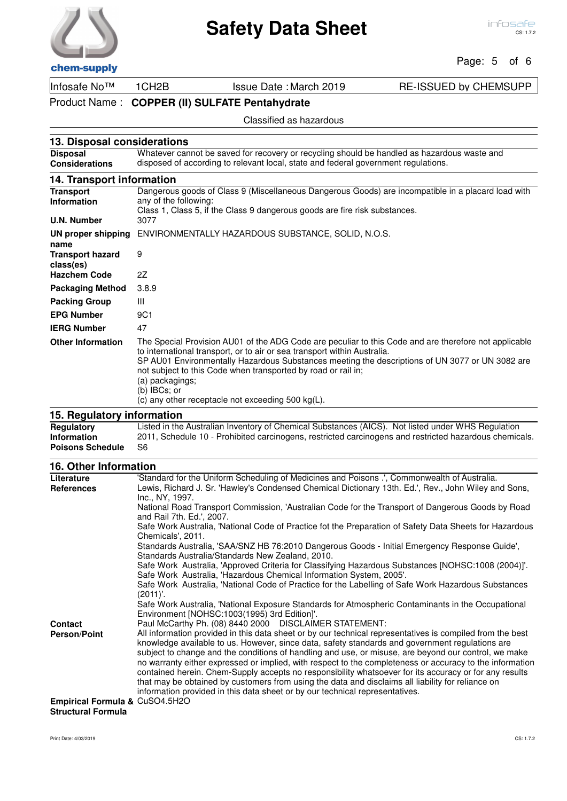### Page: 5 of 6

# Infosafe No™ 1CH2B Issue Date :March 2019 RE-ISSUED by CHEMSUPP

Product Name : **COPPER (II) SULFATE Pentahydrate**

### Classified as hazardous

| 13. Disposal considerations                                  |                                                                                                                                                                                                                                                                                                                                                                                                                                                  |  |  |
|--------------------------------------------------------------|--------------------------------------------------------------------------------------------------------------------------------------------------------------------------------------------------------------------------------------------------------------------------------------------------------------------------------------------------------------------------------------------------------------------------------------------------|--|--|
| <b>Disposal</b><br><b>Considerations</b>                     | Whatever cannot be saved for recovery or recycling should be handled as hazardous waste and<br>disposed of according to relevant local, state and federal government regulations.                                                                                                                                                                                                                                                                |  |  |
| 14. Transport information                                    |                                                                                                                                                                                                                                                                                                                                                                                                                                                  |  |  |
| <b>Transport</b><br><b>Information</b><br><b>U.N. Number</b> | Dangerous goods of Class 9 (Miscellaneous Dangerous Goods) are incompatible in a placard load with<br>any of the following:<br>Class 1, Class 5, if the Class 9 dangerous goods are fire risk substances.<br>3077                                                                                                                                                                                                                                |  |  |
| UN proper shipping<br>name                                   | ENVIRONMENTALLY HAZARDOUS SUBSTANCE, SOLID, N.O.S.                                                                                                                                                                                                                                                                                                                                                                                               |  |  |
| <b>Transport hazard</b><br>class(es)                         | 9                                                                                                                                                                                                                                                                                                                                                                                                                                                |  |  |
| <b>Hazchem Code</b>                                          | 2Z                                                                                                                                                                                                                                                                                                                                                                                                                                               |  |  |
| <b>Packaging Method</b>                                      | 3.8.9                                                                                                                                                                                                                                                                                                                                                                                                                                            |  |  |
| <b>Packing Group</b>                                         | Ш                                                                                                                                                                                                                                                                                                                                                                                                                                                |  |  |
| <b>EPG Number</b>                                            | 9C <sub>1</sub>                                                                                                                                                                                                                                                                                                                                                                                                                                  |  |  |
| <b>IERG Number</b>                                           | 47                                                                                                                                                                                                                                                                                                                                                                                                                                               |  |  |
| <b>Other Information</b>                                     | The Special Provision AU01 of the ADG Code are peculiar to this Code and are therefore not applicable<br>to international transport, or to air or sea transport within Australia.<br>SP AU01 Environmentally Hazardous Substances meeting the descriptions of UN 3077 or UN 3082 are<br>not subject to this Code when transported by road or rail in;<br>(a) packagings;<br>(b) IBCs; or<br>(c) any other receptacle not exceeding 500 $kg(L)$ . |  |  |
| 15. Regulatory information                                   |                                                                                                                                                                                                                                                                                                                                                                                                                                                  |  |  |
| <b>Regulatory</b>                                            | Listed in the Australian Inventory of Chemical Substances (AICS). Not listed under WHS Regulation                                                                                                                                                                                                                                                                                                                                                |  |  |

2011, Schedule 10 - Prohibited carcinogens, restricted carcinogens and restricted hazardous chemicals. **Information Poisons Schedule** S6

# **16. Other Information**

| Literature                                                  | 'Standard for the Uniform Scheduling of Medicines and Poisons .', Commonwealth of Australia.                                                                                                                                                                                                                                                                                                                                                                                                                                                                                                                       |
|-------------------------------------------------------------|--------------------------------------------------------------------------------------------------------------------------------------------------------------------------------------------------------------------------------------------------------------------------------------------------------------------------------------------------------------------------------------------------------------------------------------------------------------------------------------------------------------------------------------------------------------------------------------------------------------------|
| <b>References</b>                                           | Lewis, Richard J. Sr. 'Hawley's Condensed Chemical Dictionary 13th. Ed.', Rev., John Wiley and Sons,                                                                                                                                                                                                                                                                                                                                                                                                                                                                                                               |
|                                                             | Inc., NY, 1997.                                                                                                                                                                                                                                                                                                                                                                                                                                                                                                                                                                                                    |
|                                                             | National Road Transport Commission, 'Australian Code for the Transport of Dangerous Goods by Road<br>and Rail 7th. Ed.', 2007.                                                                                                                                                                                                                                                                                                                                                                                                                                                                                     |
|                                                             | Safe Work Australia, 'National Code of Practice fot the Preparation of Safety Data Sheets for Hazardous                                                                                                                                                                                                                                                                                                                                                                                                                                                                                                            |
|                                                             | Chemicals', 2011.                                                                                                                                                                                                                                                                                                                                                                                                                                                                                                                                                                                                  |
|                                                             | Standards Australia, 'SAA/SNZ HB 76:2010 Dangerous Goods - Initial Emergency Response Guide',                                                                                                                                                                                                                                                                                                                                                                                                                                                                                                                      |
|                                                             | Standards Australia/Standards New Zealand, 2010.                                                                                                                                                                                                                                                                                                                                                                                                                                                                                                                                                                   |
|                                                             | Safe Work Australia, 'Approved Criteria for Classifying Hazardous Substances [NOHSC:1008 (2004)]'.                                                                                                                                                                                                                                                                                                                                                                                                                                                                                                                 |
|                                                             | Safe Work Australia, 'Hazardous Chemical Information System, 2005'.                                                                                                                                                                                                                                                                                                                                                                                                                                                                                                                                                |
|                                                             | Safe Work Australia, 'National Code of Practice for the Labelling of Safe Work Hazardous Substances<br>(2011)'.                                                                                                                                                                                                                                                                                                                                                                                                                                                                                                    |
|                                                             | Safe Work Australia, 'National Exposure Standards for Atmospheric Contaminants in the Occupational<br>Environment [NOHSC:1003(1995) 3rd Edition]'.                                                                                                                                                                                                                                                                                                                                                                                                                                                                 |
| Contact                                                     | Paul McCarthy Ph. (08) 8440 2000 DISCLAIMER STATEMENT:                                                                                                                                                                                                                                                                                                                                                                                                                                                                                                                                                             |
|                                                             | All information provided in this data sheet or by our technical representatives is compiled from the best                                                                                                                                                                                                                                                                                                                                                                                                                                                                                                          |
| <b>Person/Point</b>                                         | knowledge available to us. However, since data, safety standards and government regulations are<br>subject to change and the conditions of handling and use, or misuse, are beyond our control, we make<br>no warranty either expressed or implied, with respect to the completeness or accuracy to the information<br>contained herein. Chem-Supply accepts no responsibility whatsoever for its accuracy or for any results<br>that may be obtained by customers from using the data and disclaims all liability for reliance on<br>information provided in this data sheet or by our technical representatives. |
| Empirical Formula & CuSO4.5H2O<br><b>Structural Formula</b> |                                                                                                                                                                                                                                                                                                                                                                                                                                                                                                                                                                                                                    |